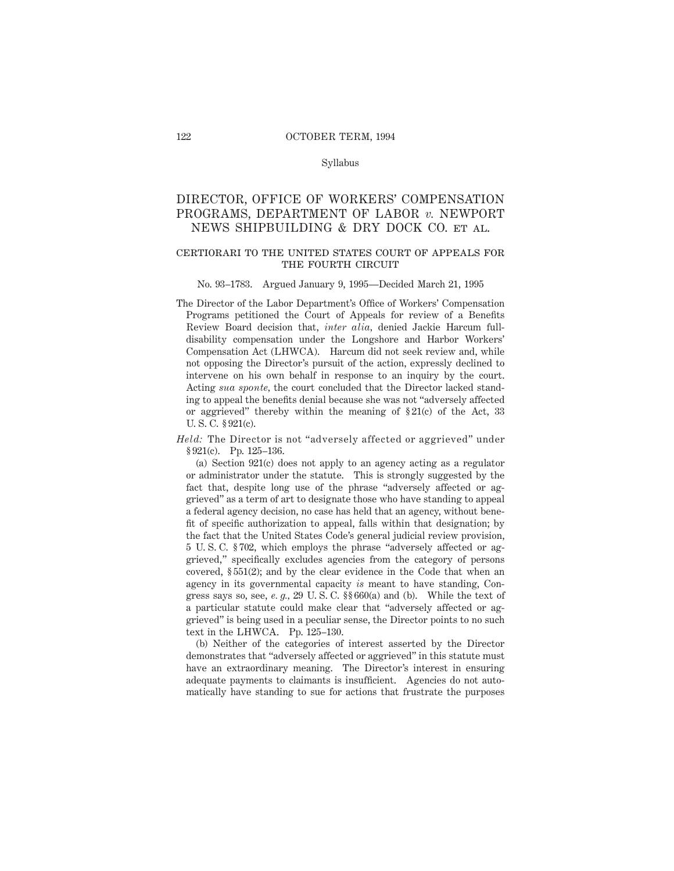#### Syllabus

# DIRECTOR, OFFICE OF WORKERS' COMPENSATION PROGRAMS, DEPARTMENT OF LABOR *v.* NEWPORT NEWS SHIPBUILDING & DRY DOCK CO. et al.

# certiorari to the united states court of appeals for THE FOURTH CIRCUIT

#### No. 93–1783. Argued January 9, 1995—Decided March 21, 1995

The Director of the Labor Department's Office of Workers' Compensation Programs petitioned the Court of Appeals for review of a Benefits Review Board decision that, *inter alia,* denied Jackie Harcum fulldisability compensation under the Longshore and Harbor Workers' Compensation Act (LHWCA). Harcum did not seek review and, while not opposing the Director's pursuit of the action, expressly declined to intervene on his own behalf in response to an inquiry by the court. Acting *sua sponte,* the court concluded that the Director lacked standing to appeal the benefits denial because she was not "adversely affected or aggrieved" thereby within the meaning of  $\S21(c)$  of the Act, 33 U. S. C. § 921(c).

*Held:* The Director is not "adversely affected or aggrieved" under § 921(c). Pp. 125–136.

(a) Section 921(c) does not apply to an agency acting as a regulator or administrator under the statute. This is strongly suggested by the fact that, despite long use of the phrase "adversely affected or aggrieved" as a term of art to designate those who have standing to appeal a federal agency decision, no case has held that an agency, without benefit of specific authorization to appeal, falls within that designation; by the fact that the United States Code's general judicial review provision, 5 U. S. C. § 702, which employs the phrase "adversely affected or aggrieved," specifically excludes agencies from the category of persons covered, § 551(2); and by the clear evidence in the Code that when an agency in its governmental capacity *is* meant to have standing, Congress says so, see, *e. g.,* 29 U. S. C. §§ 660(a) and (b). While the text of a particular statute could make clear that "adversely affected or aggrieved" is being used in a peculiar sense, the Director points to no such text in the LHWCA. Pp. 125–130.

(b) Neither of the categories of interest asserted by the Director demonstrates that "adversely affected or aggrieved" in this statute must have an extraordinary meaning. The Director's interest in ensuring adequate payments to claimants is insufficient. Agencies do not automatically have standing to sue for actions that frustrate the purposes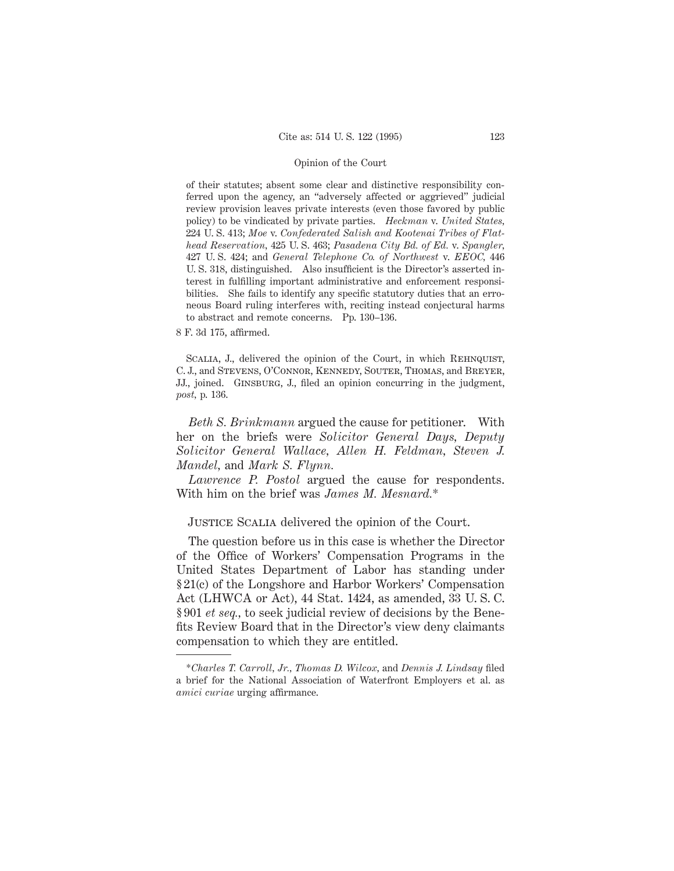of their statutes; absent some clear and distinctive responsibility conferred upon the agency, an "adversely affected or aggrieved" judicial review provision leaves private interests (even those favored by public policy) to be vindicated by private parties. *Heckman* v. *United States,* 224 U. S. 413; *Moe* v. *Confederated Salish and Kootenai Tribes of Flathead Reservation,* 425 U. S. 463; *Pasadena City Bd. of Ed.* v. *Spangler,* 427 U. S. 424; and *General Telephone Co. of Northwest* v. *EEOC,* 446 U. S. 318, distinguished. Also insufficient is the Director's asserted interest in fulfilling important administrative and enforcement responsibilities. She fails to identify any specific statutory duties that an erroneous Board ruling interferes with, reciting instead conjectural harms to abstract and remote concerns. Pp. 130–136.

8 F. 3d 175, affirmed.

SCALIA, J., delivered the opinion of the Court, in which REHNQUIST, C. J., and Stevens, O'Connor, Kennedy, Souter, Thomas, and Breyer, JJ., joined. Ginsburg, J., filed an opinion concurring in the judgment, *post,* p. 136.

*Beth S. Brinkmann* argued the cause for petitioner. With her on the briefs were *Solicitor General Days, Deputy Solicitor General Wallace, Allen H. Feldman, Steven J. Mandel,* and *Mark S. Flynn.*

*Lawrence P. Postol* argued the cause for respondents. With him on the brief was *James M. Mesnard.*\*

# Justice Scalia delivered the opinion of the Court.

The question before us in this case is whether the Director of the Office of Workers' Compensation Programs in the United States Department of Labor has standing under § 21(c) of the Longshore and Harbor Workers' Compensation Act (LHWCA or Act), 44 Stat. 1424, as amended, 33 U. S. C. § 901 *et seq.,* to seek judicial review of decisions by the Benefits Review Board that in the Director's view deny claimants compensation to which they are entitled.

<sup>\*</sup>*Charles T. Carroll, Jr., Thomas D. Wilcox,* and *Dennis J. Lindsay* filed a brief for the National Association of Waterfront Employers et al. as *amici curiae* urging affirmance.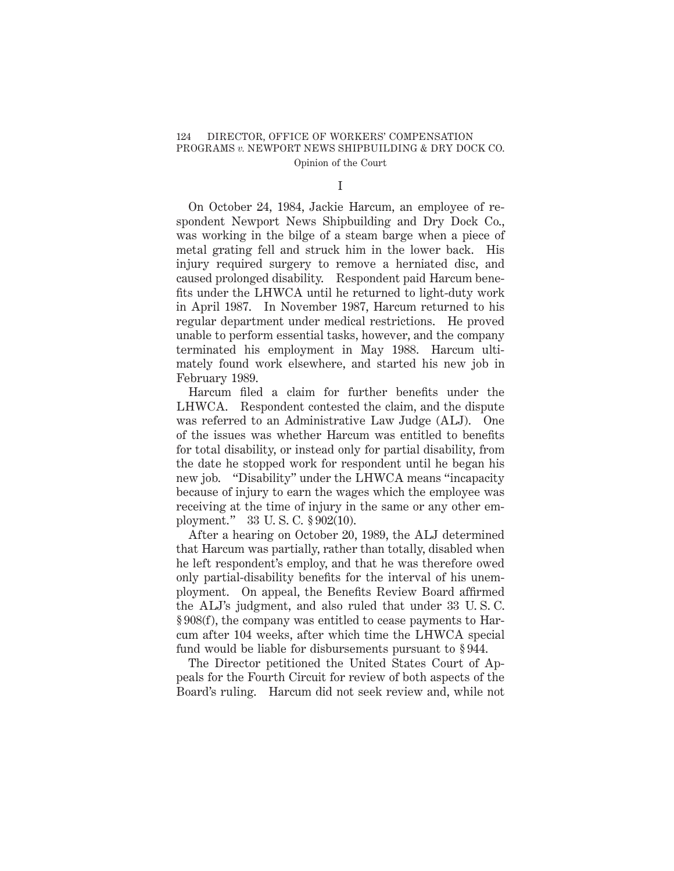I

On October 24, 1984, Jackie Harcum, an employee of respondent Newport News Shipbuilding and Dry Dock Co., was working in the bilge of a steam barge when a piece of metal grating fell and struck him in the lower back. His injury required surgery to remove a herniated disc, and caused prolonged disability. Respondent paid Harcum benefits under the LHWCA until he returned to light-duty work in April 1987. In November 1987, Harcum returned to his regular department under medical restrictions. He proved unable to perform essential tasks, however, and the company terminated his employment in May 1988. Harcum ultimately found work elsewhere, and started his new job in February 1989.

Harcum filed a claim for further benefits under the LHWCA. Respondent contested the claim, and the dispute was referred to an Administrative Law Judge (ALJ). One of the issues was whether Harcum was entitled to benefits for total disability, or instead only for partial disability, from the date he stopped work for respondent until he began his new job. "Disability" under the LHWCA means "incapacity because of injury to earn the wages which the employee was receiving at the time of injury in the same or any other employment." 33 U. S. C. § 902(10).

After a hearing on October 20, 1989, the ALJ determined that Harcum was partially, rather than totally, disabled when he left respondent's employ, and that he was therefore owed only partial-disability benefits for the interval of his unemployment. On appeal, the Benefits Review Board affirmed the ALJ's judgment, and also ruled that under 33 U. S. C. § 908(f), the company was entitled to cease payments to Harcum after 104 weeks, after which time the LHWCA special fund would be liable for disbursements pursuant to § 944.

The Director petitioned the United States Court of Appeals for the Fourth Circuit for review of both aspects of the Board's ruling. Harcum did not seek review and, while not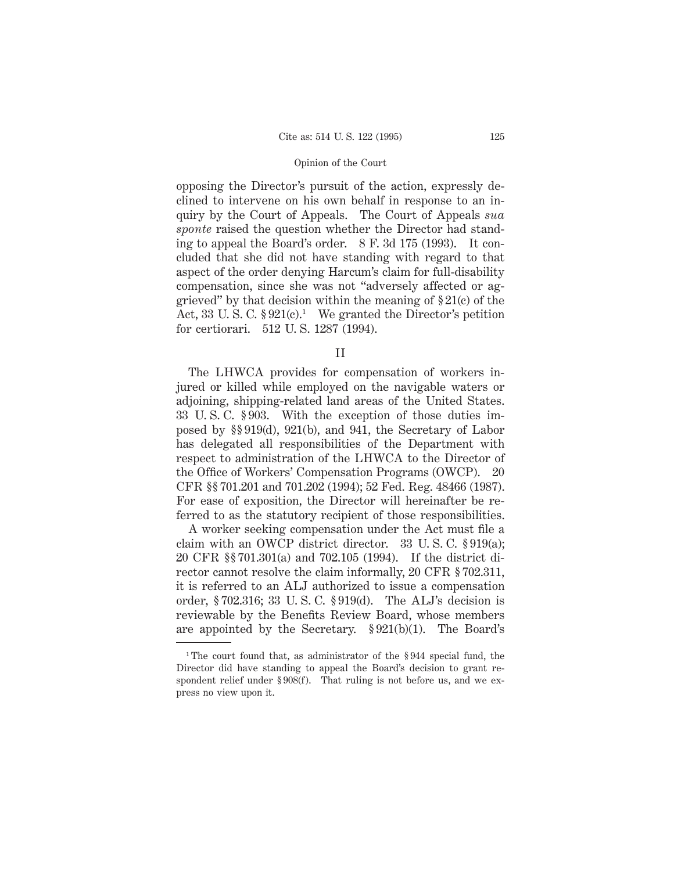opposing the Director's pursuit of the action, expressly declined to intervene on his own behalf in response to an inquiry by the Court of Appeals. The Court of Appeals *sua sponte* raised the question whether the Director had standing to appeal the Board's order. 8 F. 3d 175 (1993). It concluded that she did not have standing with regard to that aspect of the order denying Harcum's claim for full-disability compensation, since she was not "adversely affected or aggrieved" by that decision within the meaning of  $\S 21(c)$  of the Act, 33 U.S.C.  $\S 921(c)$ <sup>1</sup> We granted the Director's petition for certiorari. 512 U. S. 1287 (1994).

II

The LHWCA provides for compensation of workers injured or killed while employed on the navigable waters or adjoining, shipping-related land areas of the United States. 33 U. S. C. § 903. With the exception of those duties imposed by §§ 919(d), 921(b), and 941, the Secretary of Labor has delegated all responsibilities of the Department with respect to administration of the LHWCA to the Director of the Office of Workers' Compensation Programs (OWCP). 20 CFR §§ 701.201 and 701.202 (1994); 52 Fed. Reg. 48466 (1987). For ease of exposition, the Director will hereinafter be referred to as the statutory recipient of those responsibilities.

A worker seeking compensation under the Act must file a claim with an OWCP district director. 33 U. S. C. § 919(a); 20 CFR §§ 701.301(a) and 702.105 (1994). If the district director cannot resolve the claim informally, 20 CFR § 702.311, it is referred to an ALJ authorized to issue a compensation order, § 702.316; 33 U. S. C. § 919(d). The ALJ's decision is reviewable by the Benefits Review Board, whose members are appointed by the Secretary. § 921(b)(1). The Board's

<sup>&</sup>lt;sup>1</sup>The court found that, as administrator of the §944 special fund, the Director did have standing to appeal the Board's decision to grant respondent relief under § 908(f). That ruling is not before us, and we express no view upon it.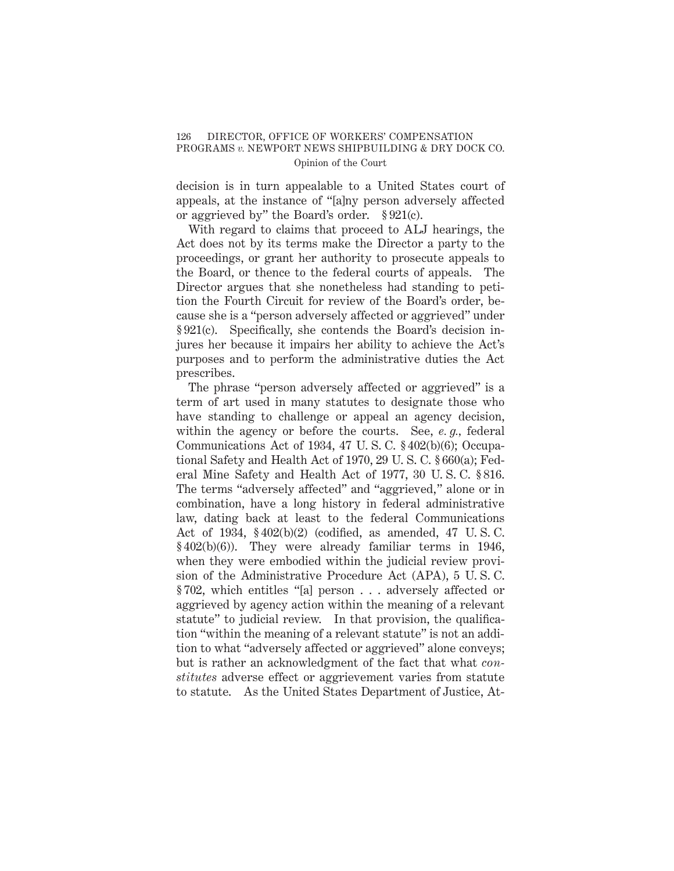decision is in turn appealable to a United States court of appeals, at the instance of "[a]ny person adversely affected or aggrieved by" the Board's order. § 921(c).

With regard to claims that proceed to ALJ hearings, the Act does not by its terms make the Director a party to the proceedings, or grant her authority to prosecute appeals to the Board, or thence to the federal courts of appeals. The Director argues that she nonetheless had standing to petition the Fourth Circuit for review of the Board's order, because she is a "person adversely affected or aggrieved" under § 921(c). Specifically, she contends the Board's decision injures her because it impairs her ability to achieve the Act's purposes and to perform the administrative duties the Act prescribes.

The phrase "person adversely affected or aggrieved" is a term of art used in many statutes to designate those who have standing to challenge or appeal an agency decision, within the agency or before the courts. See, *e. g.,* federal Communications Act of 1934, 47 U. S. C. § 402(b)(6); Occupational Safety and Health Act of 1970, 29 U. S. C. § 660(a); Federal Mine Safety and Health Act of 1977, 30 U. S. C. § 816. The terms "adversely affected" and "aggrieved," alone or in combination, have a long history in federal administrative law, dating back at least to the federal Communications Act of 1934, § 402(b)(2) (codified, as amended, 47 U. S. C. § 402(b)(6)). They were already familiar terms in 1946, when they were embodied within the judicial review provision of the Administrative Procedure Act (APA), 5 U. S. C. § 702, which entitles "[a] person . . . adversely affected or aggrieved by agency action within the meaning of a relevant statute" to judicial review. In that provision, the qualification "within the meaning of a relevant statute" is not an addition to what "adversely affected or aggrieved" alone conveys; but is rather an acknowledgment of the fact that what *constitutes* adverse effect or aggrievement varies from statute to statute. As the United States Department of Justice, At-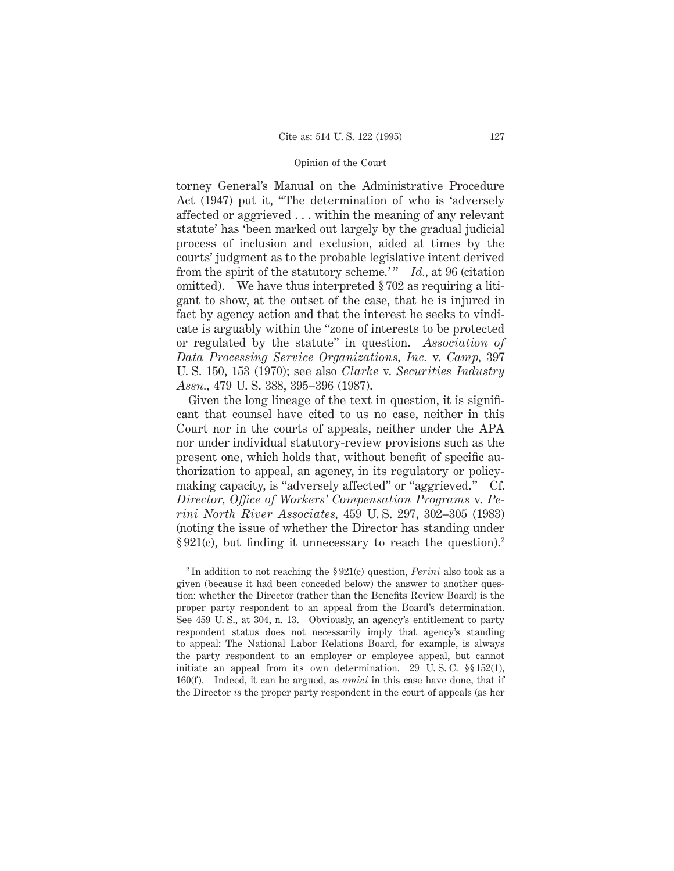torney General's Manual on the Administrative Procedure Act (1947) put it, "The determination of who is 'adversely affected or aggrieved . . . within the meaning of any relevant statute' has 'been marked out largely by the gradual judicial process of inclusion and exclusion, aided at times by the courts' judgment as to the probable legislative intent derived from the spirit of the statutory scheme.'" *Id.*, at 96 (citation omitted). We have thus interpreted § 702 as requiring a litigant to show, at the outset of the case, that he is injured in fact by agency action and that the interest he seeks to vindicate is arguably within the "zone of interests to be protected or regulated by the statute" in question. *Association of Data Processing Service Organizations, Inc.* v. *Camp,* 397 U. S. 150, 153 (1970); see also *Clarke* v. *Securities Industry Assn.,* 479 U. S. 388, 395–396 (1987).

Given the long lineage of the text in question, it is significant that counsel have cited to us no case, neither in this Court nor in the courts of appeals, neither under the APA nor under individual statutory-review provisions such as the present one, which holds that, without benefit of specific authorization to appeal, an agency, in its regulatory or policymaking capacity, is "adversely affected" or "aggrieved." Cf. *Director, Office of Workers' Compensation Programs* v. *Perini North River Associates,* 459 U. S. 297, 302–305 (1983) (noting the issue of whether the Director has standing under § 921(c), but finding it unnecessary to reach the question).<sup>2</sup>

<sup>2</sup> In addition to not reaching the § 921(c) question, *Perini* also took as a given (because it had been conceded below) the answer to another question: whether the Director (rather than the Benefits Review Board) is the proper party respondent to an appeal from the Board's determination. See 459 U. S., at 304, n. 13. Obviously, an agency's entitlement to party respondent status does not necessarily imply that agency's standing to appeal: The National Labor Relations Board, for example, is always the party respondent to an employer or employee appeal, but cannot initiate an appeal from its own determination. 29 U. S. C. §§ 152(1), 160(f). Indeed, it can be argued, as *amici* in this case have done, that if the Director *is* the proper party respondent in the court of appeals (as her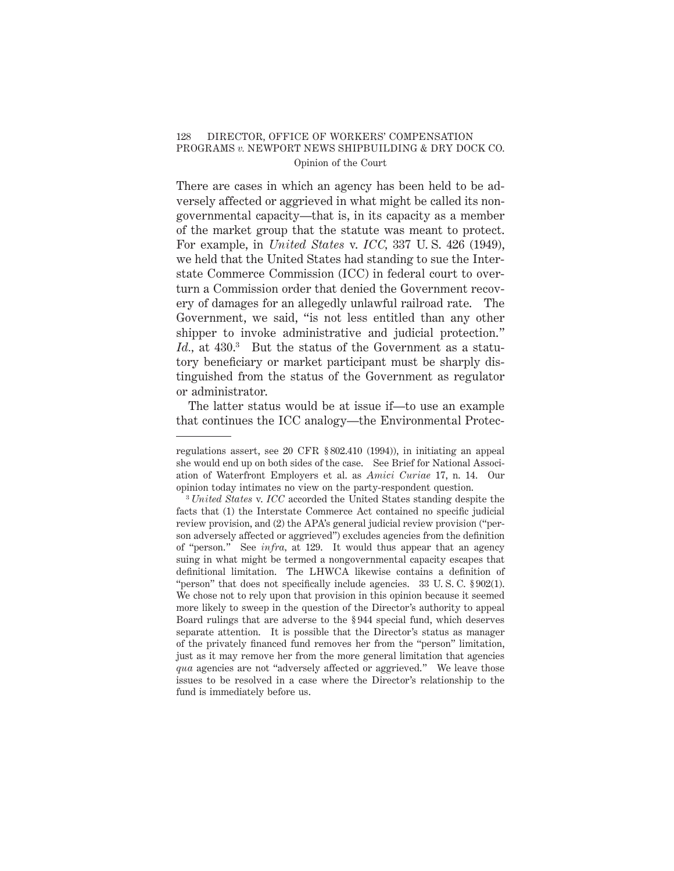There are cases in which an agency has been held to be adversely affected or aggrieved in what might be called its nongovernmental capacity—that is, in its capacity as a member of the market group that the statute was meant to protect. For example, in *United States* v. *ICC,* 337 U. S. 426 (1949), we held that the United States had standing to sue the Interstate Commerce Commission (ICC) in federal court to overturn a Commission order that denied the Government recovery of damages for an allegedly unlawful railroad rate. The Government, we said, "is not less entitled than any other shipper to invoke administrative and judicial protection." Id., at 430.<sup>3</sup> But the status of the Government as a statutory beneficiary or market participant must be sharply distinguished from the status of the Government as regulator or administrator.

The latter status would be at issue if—to use an example that continues the ICC analogy—the Environmental Protec-

regulations assert, see 20 CFR § 802.410 (1994)), in initiating an appeal she would end up on both sides of the case. See Brief for National Association of Waterfront Employers et al. as *Amici Curiae* 17, n. 14. Our opinion today intimates no view on the party-respondent question.

<sup>3</sup> *United States* v. *ICC* accorded the United States standing despite the facts that (1) the Interstate Commerce Act contained no specific judicial review provision, and (2) the APA's general judicial review provision ("person adversely affected or aggrieved") excludes agencies from the definition of "person." See *infra,* at 129. It would thus appear that an agency suing in what might be termed a nongovernmental capacity escapes that definitional limitation. The LHWCA likewise contains a definition of "person" that does not specifically include agencies. 33 U. S. C. § 902(1). We chose not to rely upon that provision in this opinion because it seemed more likely to sweep in the question of the Director's authority to appeal Board rulings that are adverse to the § 944 special fund, which deserves separate attention. It is possible that the Director's status as manager of the privately financed fund removes her from the "person" limitation, just as it may remove her from the more general limitation that agencies *qua* agencies are not "adversely affected or aggrieved." We leave those issues to be resolved in a case where the Director's relationship to the fund is immediately before us.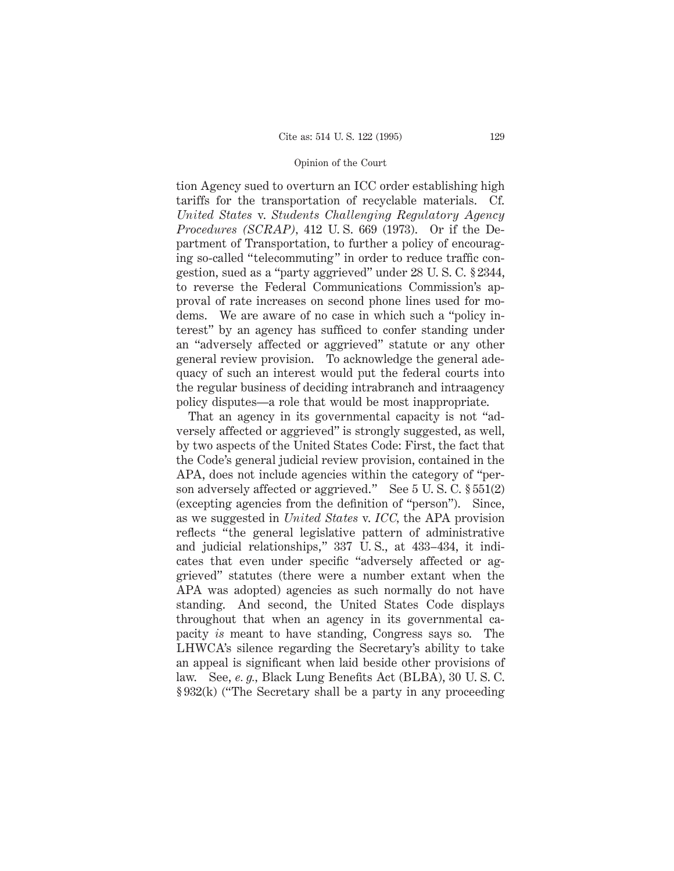tion Agency sued to overturn an ICC order establishing high tariffs for the transportation of recyclable materials. Cf. *United States* v. *Students Challenging Regulatory Agency Procedures (SCRAP),* 412 U. S. 669 (1973). Or if the Department of Transportation, to further a policy of encouraging so-called "telecommuting" in order to reduce traffic congestion, sued as a "party aggrieved" under 28 U. S. C. § 2344, to reverse the Federal Communications Commission's approval of rate increases on second phone lines used for modems. We are aware of no case in which such a "policy interest" by an agency has sufficed to confer standing under an "adversely affected or aggrieved" statute or any other general review provision. To acknowledge the general adequacy of such an interest would put the federal courts into the regular business of deciding intrabranch and intraagency policy disputes—a role that would be most inappropriate.

That an agency in its governmental capacity is not "adversely affected or aggrieved" is strongly suggested, as well, by two aspects of the United States Code: First, the fact that the Code's general judicial review provision, contained in the APA, does not include agencies within the category of "person adversely affected or aggrieved." See 5 U. S. C. § 551(2) (excepting agencies from the definition of "person"). Since, as we suggested in *United States* v. *ICC,* the APA provision reflects "the general legislative pattern of administrative and judicial relationships," 337 U. S., at 433–434, it indicates that even under specific "adversely affected or aggrieved" statutes (there were a number extant when the APA was adopted) agencies as such normally do not have standing. And second, the United States Code displays throughout that when an agency in its governmental capacity *is* meant to have standing, Congress says so. The LHWCA's silence regarding the Secretary's ability to take an appeal is significant when laid beside other provisions of law. See, *e. g.,* Black Lung Benefits Act (BLBA), 30 U. S. C. § 932(k) ("The Secretary shall be a party in any proceeding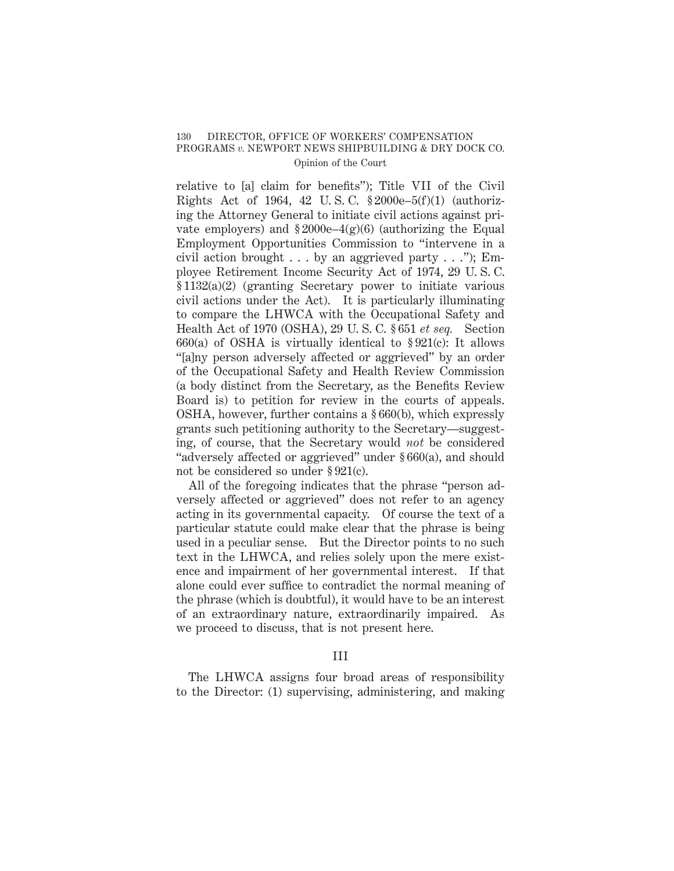relative to [a] claim for benefits"); Title VII of the Civil Rights Act of 1964, 42 U. S. C. § 2000e–5(f)(1) (authorizing the Attorney General to initiate civil actions against private employers) and  $$2000e-4(g)(6)$  (authorizing the Equal Employment Opportunities Commission to "intervene in a civil action brought  $\dots$  by an aggrieved party  $\dots$ "); Employee Retirement Income Security Act of 1974, 29 U. S. C. § 1132(a)(2) (granting Secretary power to initiate various civil actions under the Act). It is particularly illuminating to compare the LHWCA with the Occupational Safety and Health Act of 1970 (OSHA), 29 U. S. C. § 651 *et seq.* Section 660(a) of OSHA is virtually identical to  $$921(c)$ : It allows "[a]ny person adversely affected or aggrieved" by an order of the Occupational Safety and Health Review Commission (a body distinct from the Secretary, as the Benefits Review Board is) to petition for review in the courts of appeals. OSHA, however, further contains a § 660(b), which expressly grants such petitioning authority to the Secretary—suggesting, of course, that the Secretary would *not* be considered "adversely affected or aggrieved" under § 660(a), and should not be considered so under § 921(c).

All of the foregoing indicates that the phrase "person adversely affected or aggrieved" does not refer to an agency acting in its governmental capacity. Of course the text of a particular statute could make clear that the phrase is being used in a peculiar sense. But the Director points to no such text in the LHWCA, and relies solely upon the mere existence and impairment of her governmental interest. If that alone could ever suffice to contradict the normal meaning of the phrase (which is doubtful), it would have to be an interest of an extraordinary nature, extraordinarily impaired. As we proceed to discuss, that is not present here.

# III

The LHWCA assigns four broad areas of responsibility to the Director: (1) supervising, administering, and making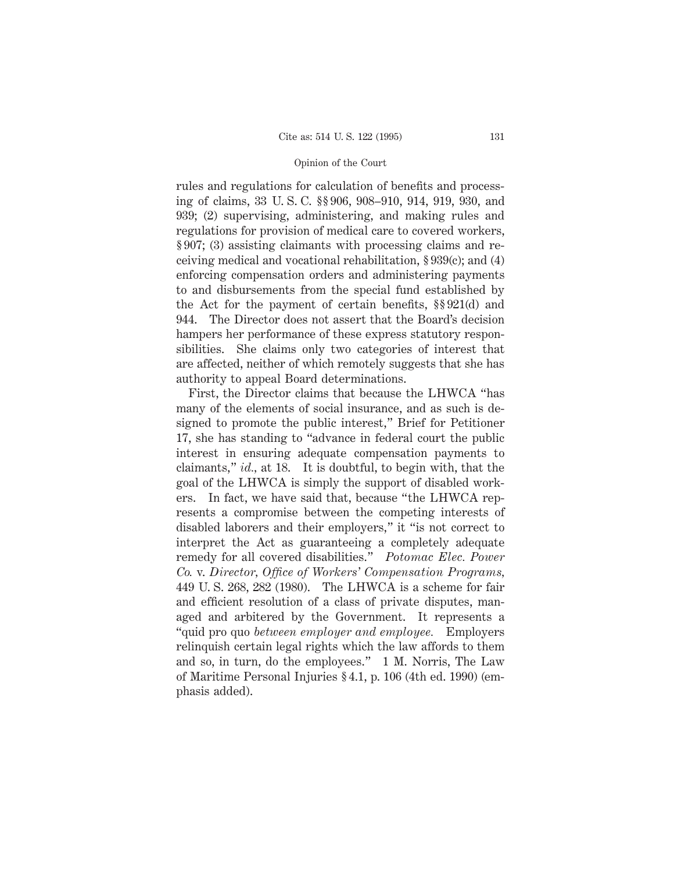rules and regulations for calculation of benefits and processing of claims, 33 U. S. C. §§ 906, 908–910, 914, 919, 930, and 939; (2) supervising, administering, and making rules and regulations for provision of medical care to covered workers, § 907; (3) assisting claimants with processing claims and receiving medical and vocational rehabilitation, § 939(c); and (4) enforcing compensation orders and administering payments to and disbursements from the special fund established by the Act for the payment of certain benefits, §§ 921(d) and 944. The Director does not assert that the Board's decision hampers her performance of these express statutory responsibilities. She claims only two categories of interest that are affected, neither of which remotely suggests that she has authority to appeal Board determinations.

First, the Director claims that because the LHWCA "has many of the elements of social insurance, and as such is designed to promote the public interest," Brief for Petitioner 17, she has standing to "advance in federal court the public interest in ensuring adequate compensation payments to claimants," *id.,* at 18. It is doubtful, to begin with, that the goal of the LHWCA is simply the support of disabled workers. In fact, we have said that, because "the LHWCA represents a compromise between the competing interests of disabled laborers and their employers," it "is not correct to interpret the Act as guaranteeing a completely adequate remedy for all covered disabilities." *Potomac Elec. Power Co.* v. *Director, Office of Workers' Compensation Programs,* 449 U. S. 268, 282 (1980). The LHWCA is a scheme for fair and efficient resolution of a class of private disputes, managed and arbitered by the Government. It represents a "quid pro quo *between employer and employee.* Employers relinquish certain legal rights which the law affords to them and so, in turn, do the employees." 1 M. Norris, The Law of Maritime Personal Injuries § 4.1, p. 106 (4th ed. 1990) (emphasis added).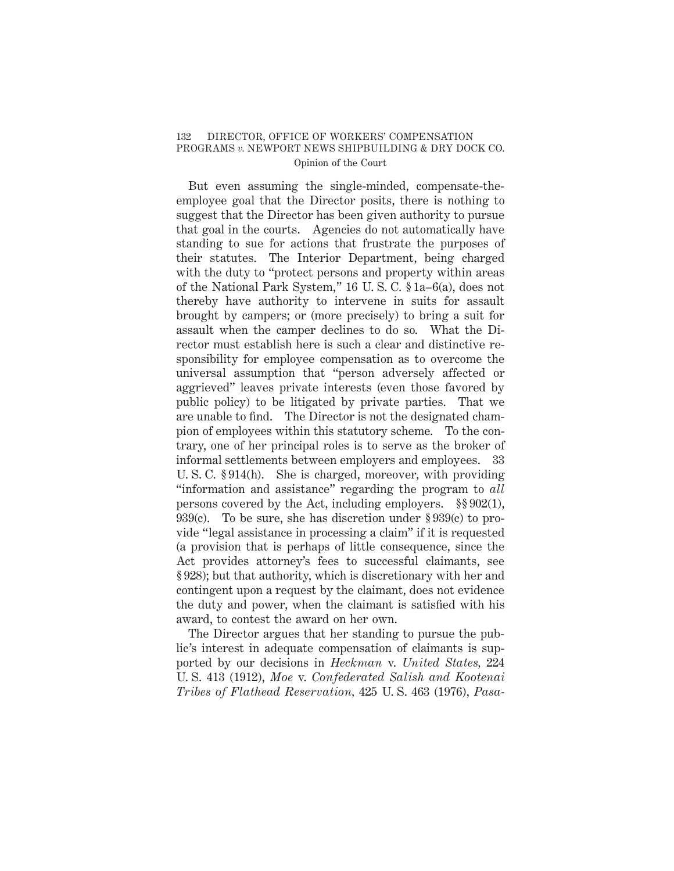But even assuming the single-minded, compensate-theemployee goal that the Director posits, there is nothing to suggest that the Director has been given authority to pursue that goal in the courts. Agencies do not automatically have standing to sue for actions that frustrate the purposes of their statutes. The Interior Department, being charged with the duty to "protect persons and property within areas of the National Park System," 16 U. S. C. § 1a–6(a), does not thereby have authority to intervene in suits for assault brought by campers; or (more precisely) to bring a suit for assault when the camper declines to do so. What the Director must establish here is such a clear and distinctive responsibility for employee compensation as to overcome the universal assumption that "person adversely affected or aggrieved" leaves private interests (even those favored by public policy) to be litigated by private parties. That we are unable to find. The Director is not the designated champion of employees within this statutory scheme. To the contrary, one of her principal roles is to serve as the broker of informal settlements between employers and employees. 33 U. S. C. § 914(h). She is charged, moreover, with providing "information and assistance" regarding the program to *all* persons covered by the Act, including employers. §§ 902(1), 939(c). To be sure, she has discretion under § 939(c) to provide "legal assistance in processing a claim" if it is requested (a provision that is perhaps of little consequence, since the Act provides attorney's fees to successful claimants, see § 928); but that authority, which is discretionary with her and contingent upon a request by the claimant, does not evidence the duty and power, when the claimant is satisfied with his award, to contest the award on her own.

The Director argues that her standing to pursue the public's interest in adequate compensation of claimants is supported by our decisions in *Heckman* v. *United States,* 224 U. S. 413 (1912), *Moe* v. *Confederated Salish and Kootenai Tribes of Flathead Reservation,* 425 U. S. 463 (1976), *Pasa-*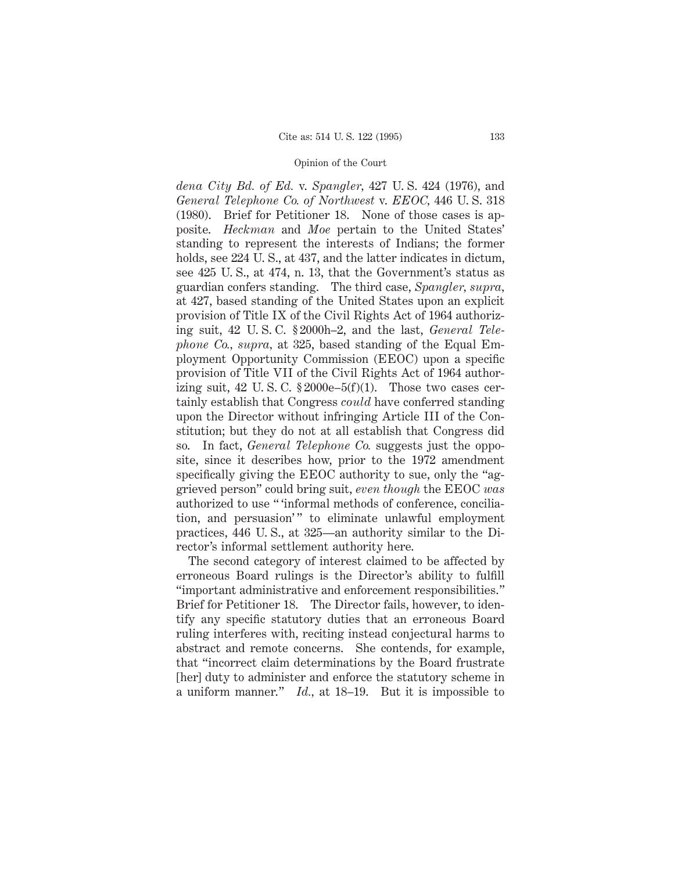*dena City Bd. of Ed.* v. *Spangler,* 427 U. S. 424 (1976), and *General Telephone Co. of Northwest* v. *EEOC,* 446 U. S. 318 (1980). Brief for Petitioner 18. None of those cases is apposite. *Heckman* and *Moe* pertain to the United States' standing to represent the interests of Indians; the former holds, see 224 U.S., at 437, and the latter indicates in dictum, see 425 U. S., at 474, n. 13, that the Government's status as guardian confers standing. The third case, *Spangler, supra,* at 427, based standing of the United States upon an explicit provision of Title IX of the Civil Rights Act of 1964 authorizing suit, 42 U. S. C. § 2000h–2, and the last, *General Telephone Co., supra,* at 325, based standing of the Equal Employment Opportunity Commission (EEOC) upon a specific provision of Title VII of the Civil Rights Act of 1964 authorizing suit, 42 U.S.C.  $$2000e-5(f)(1)$ . Those two cases certainly establish that Congress *could* have conferred standing upon the Director without infringing Article III of the Constitution; but they do not at all establish that Congress did so. In fact, *General Telephone Co.* suggests just the opposite, since it describes how, prior to the 1972 amendment specifically giving the EEOC authority to sue, only the "aggrieved person" could bring suit, *even though* the EEOC *was* authorized to use " 'informal methods of conference, conciliation, and persuasion'" to eliminate unlawful employment practices, 446 U. S., at 325—an authority similar to the Director's informal settlement authority here.

The second category of interest claimed to be affected by erroneous Board rulings is the Director's ability to fulfill "important administrative and enforcement responsibilities." Brief for Petitioner 18. The Director fails, however, to identify any specific statutory duties that an erroneous Board ruling interferes with, reciting instead conjectural harms to abstract and remote concerns. She contends, for example, that "incorrect claim determinations by the Board frustrate [her] duty to administer and enforce the statutory scheme in a uniform manner." *Id.,* at 18–19. But it is impossible to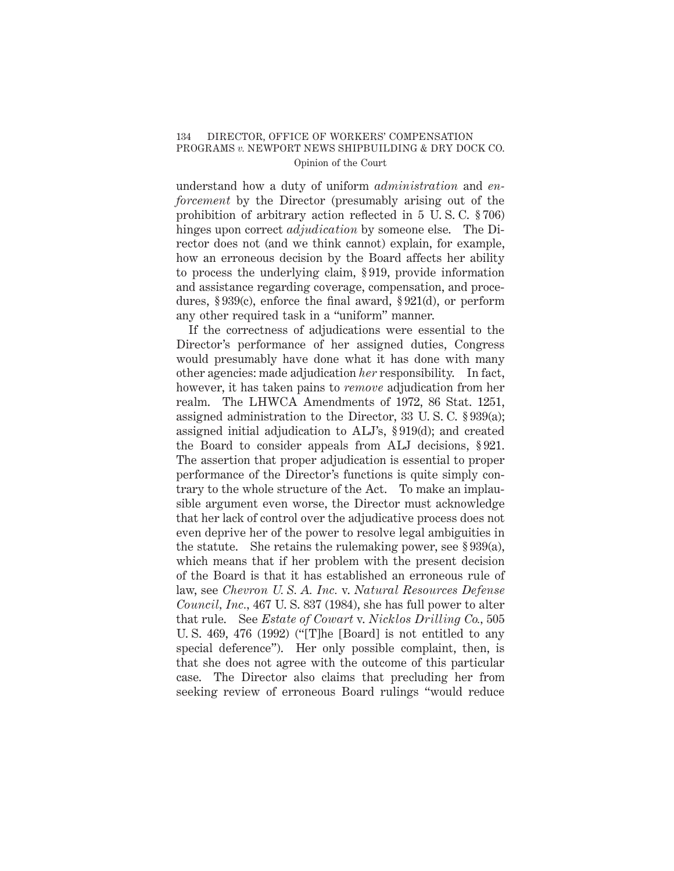# Opinion of the Court

understand how a duty of uniform *administration* and *enforcement* by the Director (presumably arising out of the prohibition of arbitrary action reflected in 5 U. S. C. § 706) hinges upon correct *adjudication* by someone else. The Director does not (and we think cannot) explain, for example, how an erroneous decision by the Board affects her ability to process the underlying claim, § 919, provide information and assistance regarding coverage, compensation, and procedures, § 939(c), enforce the final award, § 921(d), or perform any other required task in a "uniform" manner.

If the correctness of adjudications were essential to the Director's performance of her assigned duties, Congress would presumably have done what it has done with many other agencies: made adjudication *her* responsibility. In fact, however, it has taken pains to *remove* adjudication from her realm. The LHWCA Amendments of 1972, 86 Stat. 1251, assigned administration to the Director, 33 U. S. C. § 939(a); assigned initial adjudication to ALJ's, § 919(d); and created the Board to consider appeals from ALJ decisions, § 921. The assertion that proper adjudication is essential to proper performance of the Director's functions is quite simply contrary to the whole structure of the Act. To make an implausible argument even worse, the Director must acknowledge that her lack of control over the adjudicative process does not even deprive her of the power to resolve legal ambiguities in the statute. She retains the rulemaking power, see  $\S 939(a)$ , which means that if her problem with the present decision of the Board is that it has established an erroneous rule of law, see *Chevron U. S. A. Inc.* v. *Natural Resources Defense Council, Inc.,* 467 U. S. 837 (1984), she has full power to alter that rule. See *Estate of Cowart* v. *Nicklos Drilling Co.,* 505 U. S. 469, 476 (1992) ("[T]he [Board] is not entitled to any special deference"). Her only possible complaint, then, is that she does not agree with the outcome of this particular case. The Director also claims that precluding her from seeking review of erroneous Board rulings "would reduce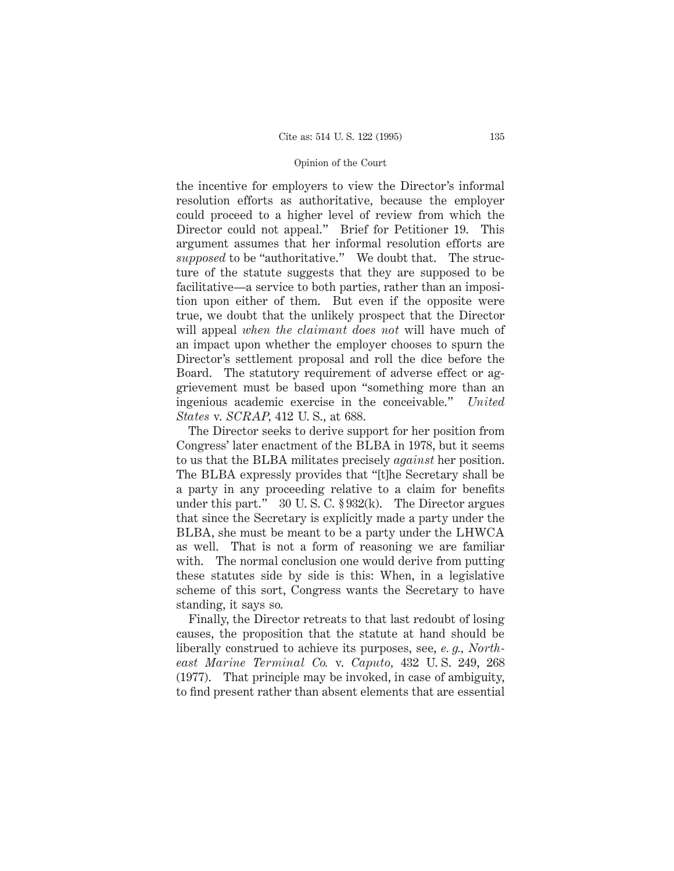the incentive for employers to view the Director's informal resolution efforts as authoritative, because the employer could proceed to a higher level of review from which the Director could not appeal." Brief for Petitioner 19. This argument assumes that her informal resolution efforts are *supposed* to be "authoritative." We doubt that. The structure of the statute suggests that they are supposed to be facilitative—a service to both parties, rather than an imposition upon either of them. But even if the opposite were true, we doubt that the unlikely prospect that the Director will appeal *when the claimant does not* will have much of an impact upon whether the employer chooses to spurn the Director's settlement proposal and roll the dice before the Board. The statutory requirement of adverse effect or aggrievement must be based upon "something more than an ingenious academic exercise in the conceivable." *United States* v. *SCRAP,* 412 U. S., at 688.

The Director seeks to derive support for her position from Congress' later enactment of the BLBA in 1978, but it seems to us that the BLBA militates precisely *against* her position. The BLBA expressly provides that "[t]he Secretary shall be a party in any proceeding relative to a claim for benefits under this part."  $30 \text{ U.S. C. }$  \$932(k). The Director argues that since the Secretary is explicitly made a party under the BLBA, she must be meant to be a party under the LHWCA as well. That is not a form of reasoning we are familiar with. The normal conclusion one would derive from putting these statutes side by side is this: When, in a legislative scheme of this sort, Congress wants the Secretary to have standing, it says so.

Finally, the Director retreats to that last redoubt of losing causes, the proposition that the statute at hand should be liberally construed to achieve its purposes, see, *e. g., Northeast Marine Terminal Co.* v. *Caputo,* 432 U. S. 249, 268 (1977). That principle may be invoked, in case of ambiguity, to find present rather than absent elements that are essential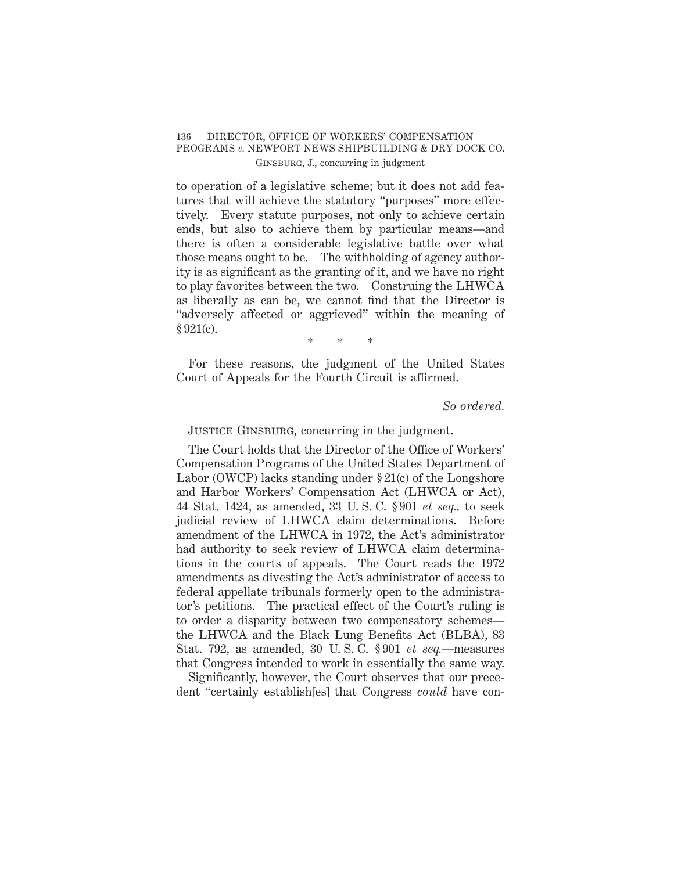# 136 DIRECTOR, OFFICE OF WORKERS' COMPENSATION PROGRAMS *v.* NEWPORT NEWS SHIPBUILDING & DRY DOCK CO. Ginsburg, J., concurring in judgment

to operation of a legislative scheme; but it does not add features that will achieve the statutory "purposes" more effectively. Every statute purposes, not only to achieve certain ends, but also to achieve them by particular means—and there is often a considerable legislative battle over what those means ought to be. The withholding of agency authority is as significant as the granting of it, and we have no right to play favorites between the two. Construing the LHWCA as liberally as can be, we cannot find that the Director is "adversely affected or aggrieved" within the meaning of  $§ 921(c).$ 

\*\*\*

For these reasons, the judgment of the United States Court of Appeals for the Fourth Circuit is affirmed.

*So ordered.*

Justice Ginsburg, concurring in the judgment.

The Court holds that the Director of the Office of Workers' Compensation Programs of the United States Department of Labor (OWCP) lacks standing under  $\S 21(c)$  of the Longshore and Harbor Workers' Compensation Act (LHWCA or Act), 44 Stat. 1424, as amended, 33 U. S. C. § 901 *et seq.,* to seek judicial review of LHWCA claim determinations. Before amendment of the LHWCA in 1972, the Act's administrator had authority to seek review of LHWCA claim determinations in the courts of appeals. The Court reads the 1972 amendments as divesting the Act's administrator of access to federal appellate tribunals formerly open to the administrator's petitions. The practical effect of the Court's ruling is to order a disparity between two compensatory schemes the LHWCA and the Black Lung Benefits Act (BLBA), 83 Stat. 792, as amended, 30 U. S. C. § 901 *et seq.*—measures that Congress intended to work in essentially the same way.

Significantly, however, the Court observes that our precedent "certainly establish[es] that Congress *could* have con-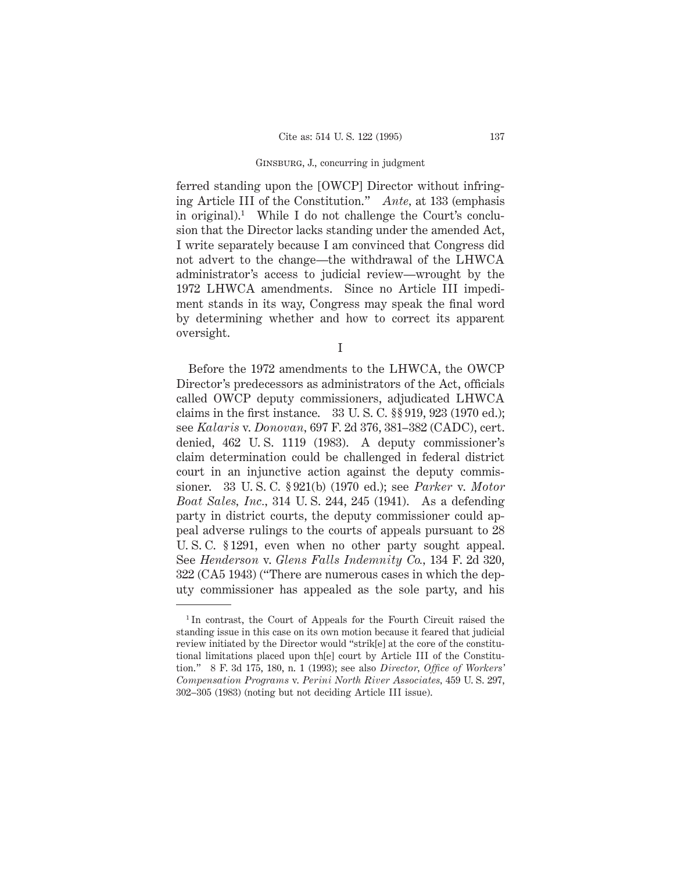## Ginsburg, J., concurring in judgment

ferred standing upon the [OWCP] Director without infringing Article III of the Constitution." *Ante,* at 133 (emphasis in original).<sup>1</sup> While I do not challenge the Court's conclusion that the Director lacks standing under the amended Act, I write separately because I am convinced that Congress did not advert to the change—the withdrawal of the LHWCA administrator's access to judicial review—wrought by the 1972 LHWCA amendments. Since no Article III impediment stands in its way, Congress may speak the final word by determining whether and how to correct its apparent oversight.

I

Before the 1972 amendments to the LHWCA, the OWCP Director's predecessors as administrators of the Act, officials called OWCP deputy commissioners, adjudicated LHWCA claims in the first instance. 33 U. S. C. §§ 919, 923 (1970 ed.); see *Kalaris* v. *Donovan,* 697 F. 2d 376, 381–382 (CADC), cert. denied, 462 U. S. 1119 (1983). A deputy commissioner's claim determination could be challenged in federal district court in an injunctive action against the deputy commissioner. 33 U. S. C. § 921(b) (1970 ed.); see *Parker* v. *Motor Boat Sales, Inc.,* 314 U. S. 244, 245 (1941). As a defending party in district courts, the deputy commissioner could appeal adverse rulings to the courts of appeals pursuant to 28 U. S. C. § 1291, even when no other party sought appeal. See *Henderson* v. *Glens Falls Indemnity Co.,* 134 F. 2d 320, 322 (CA5 1943) ("There are numerous cases in which the deputy commissioner has appealed as the sole party, and his

<sup>&</sup>lt;sup>1</sup>In contrast, the Court of Appeals for the Fourth Circuit raised the standing issue in this case on its own motion because it feared that judicial review initiated by the Director would "strik[e] at the core of the constitutional limitations placed upon th[e] court by Article III of the Constitution." 8 F. 3d 175, 180, n. 1 (1993); see also *Director, Office of Workers' Compensation Programs* v. *Perini North River Associates,* 459 U. S. 297, 302–305 (1983) (noting but not deciding Article III issue).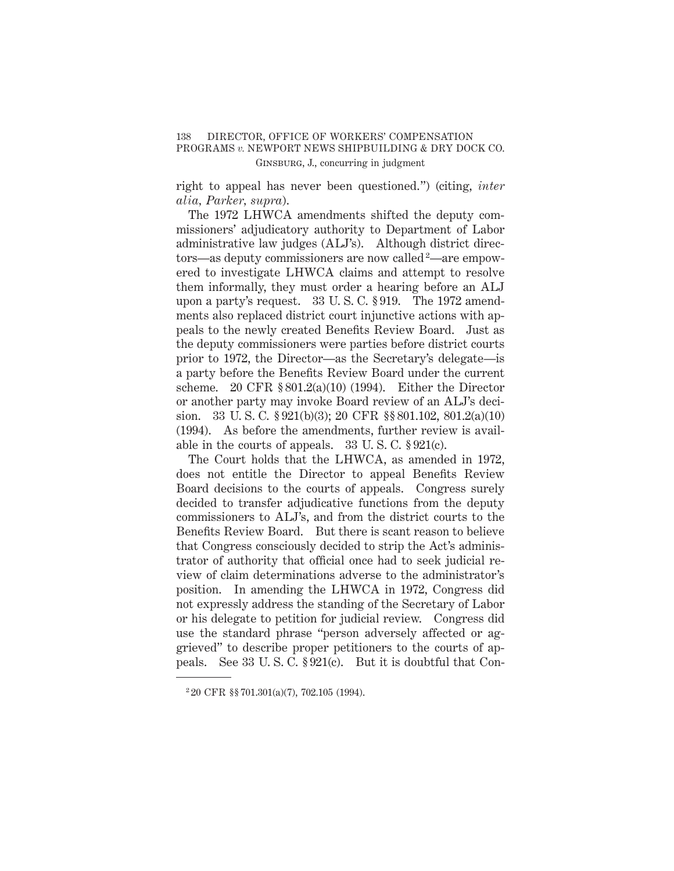# 138 DIRECTOR, OFFICE OF WORKERS' COMPENSATION PROGRAMS *v.* NEWPORT NEWS SHIPBUILDING & DRY DOCK CO. Ginsburg, J., concurring in judgment

right to appeal has never been questioned.") (citing, *inter alia, Parker, supra*).

The 1972 LHWCA amendments shifted the deputy commissioners' adjudicatory authority to Department of Labor administrative law judges (ALJ's). Although district directors—as deputy commissioners are now called <sup>2</sup>—are empowered to investigate LHWCA claims and attempt to resolve them informally, they must order a hearing before an ALJ upon a party's request. 33 U. S. C. § 919. The 1972 amendments also replaced district court injunctive actions with appeals to the newly created Benefits Review Board. Just as the deputy commissioners were parties before district courts prior to 1972, the Director—as the Secretary's delegate—is a party before the Benefits Review Board under the current scheme. 20 CFR  $$801.2(a)(10) (1994)$ . Either the Director or another party may invoke Board review of an ALJ's decision. 33 U. S. C. § 921(b)(3); 20 CFR §§ 801.102, 801.2(a)(10) (1994). As before the amendments, further review is available in the courts of appeals.  $33 \text{ U.S. C. }$  \$921(c).

The Court holds that the LHWCA, as amended in 1972, does not entitle the Director to appeal Benefits Review Board decisions to the courts of appeals. Congress surely decided to transfer adjudicative functions from the deputy commissioners to ALJ's, and from the district courts to the Benefits Review Board. But there is scant reason to believe that Congress consciously decided to strip the Act's administrator of authority that official once had to seek judicial review of claim determinations adverse to the administrator's position. In amending the LHWCA in 1972, Congress did not expressly address the standing of the Secretary of Labor or his delegate to petition for judicial review. Congress did use the standard phrase "person adversely affected or aggrieved" to describe proper petitioners to the courts of appeals. See 33 U. S. C. § 921(c). But it is doubtful that Con-

<sup>2</sup> 20 CFR §§ 701.301(a)(7), 702.105 (1994).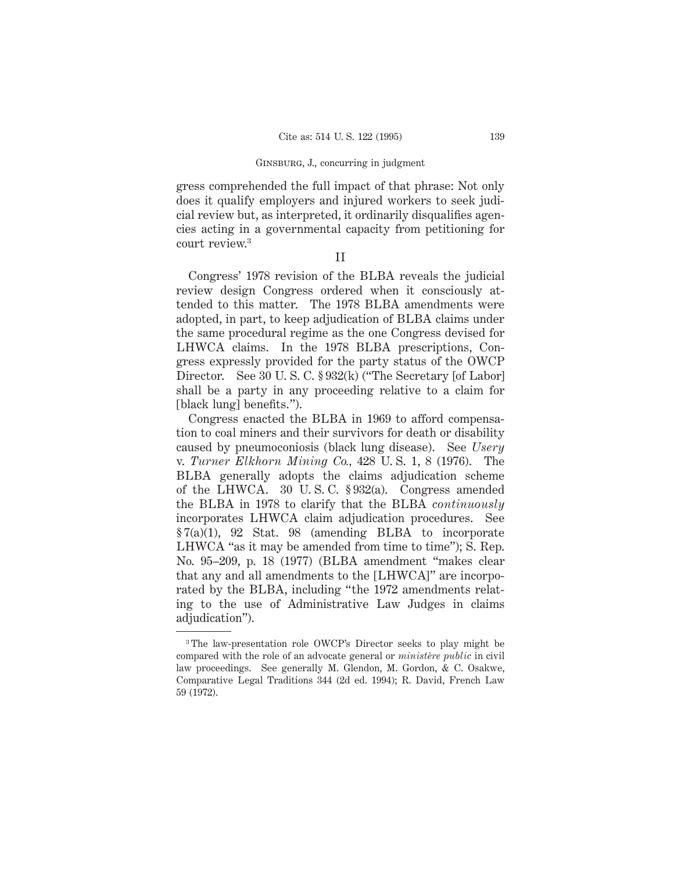## Ginsburg, J., concurring in judgment

gress comprehended the full impact of that phrase: Not only does it qualify employers and injured workers to seek judicial review but, as interpreted, it ordinarily disqualifies agencies acting in a governmental capacity from petitioning for court review.3

II

Congress' 1978 revision of the BLBA reveals the judicial review design Congress ordered when it consciously attended to this matter. The 1978 BLBA amendments were adopted, in part, to keep adjudication of BLBA claims under the same procedural regime as the one Congress devised for LHWCA claims. In the 1978 BLBA prescriptions, Congress expressly provided for the party status of the OWCP Director. See 30 U.S.C. § 932(k) ("The Secretary [of Labor] shall be a party in any proceeding relative to a claim for [black lung] benefits.").

Congress enacted the BLBA in 1969 to afford compensation to coal miners and their survivors for death or disability caused by pneumoconiosis (black lung disease). See *Usery* v. *Turner Elkhorn Mining Co.,* 428 U. S. 1, 8 (1976). The BLBA generally adopts the claims adjudication scheme of the LHWCA. 30 U. S. C. § 932(a). Congress amended the BLBA in 1978 to clarify that the BLBA *continuously* incorporates LHWCA claim adjudication procedures. See § 7(a)(1), 92 Stat. 98 (amending BLBA to incorporate LHWCA "as it may be amended from time to time"); S. Rep. No. 95–209, p. 18 (1977) (BLBA amendment "makes clear that any and all amendments to the [LHWCA]" are incorporated by the BLBA, including "the 1972 amendments relating to the use of Administrative Law Judges in claims adjudication").

<sup>3</sup> The law-presentation role OWCP's Director seeks to play might be compared with the role of an advocate general or *ministère public* in civil law proceedings. See generally M. Glendon, M. Gordon, & C. Osakwe, Comparative Legal Traditions 344 (2d ed. 1994); R. David, French Law 59 (1972).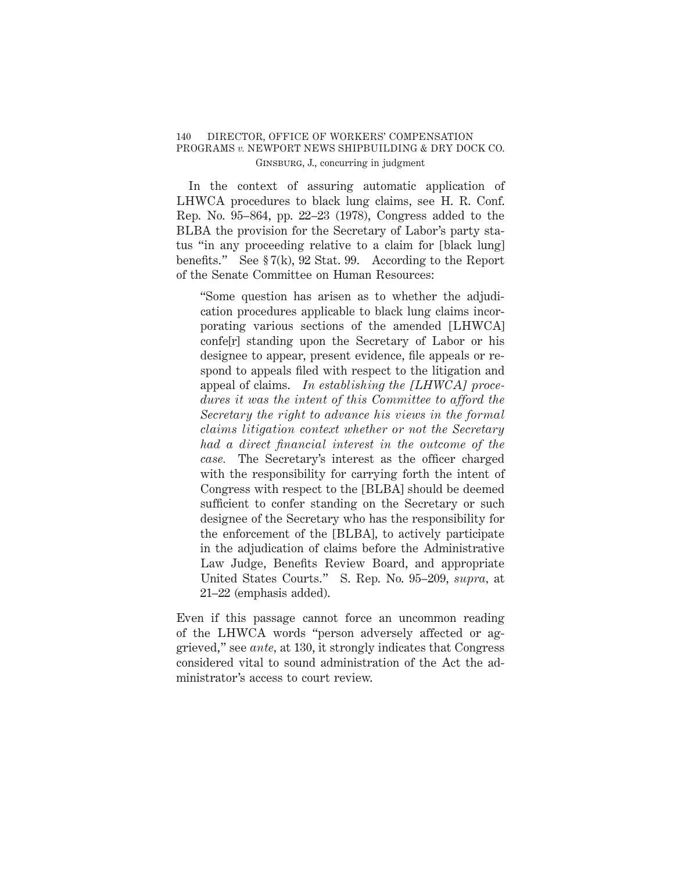# 140 DIRECTOR, OFFICE OF WORKERS' COMPENSATION PROGRAMS *v.* NEWPORT NEWS SHIPBUILDING & DRY DOCK CO. Ginsburg, J., concurring in judgment

In the context of assuring automatic application of LHWCA procedures to black lung claims, see H. R. Conf. Rep. No. 95–864, pp. 22–23 (1978), Congress added to the BLBA the provision for the Secretary of Labor's party status "in any proceeding relative to a claim for [black lung] benefits." See  $\S 7(k)$ , 92 Stat. 99. According to the Report of the Senate Committee on Human Resources:

"Some question has arisen as to whether the adjudication procedures applicable to black lung claims incorporating various sections of the amended [LHWCA] confe[r] standing upon the Secretary of Labor or his designee to appear, present evidence, file appeals or respond to appeals filed with respect to the litigation and appeal of claims. *In establishing the [LHWCA] procedures it was the intent of this Committee to afford the Secretary the right to advance his views in the formal claims litigation context whether or not the Secretary had a direct financial interest in the outcome of the case.* The Secretary's interest as the officer charged with the responsibility for carrying forth the intent of Congress with respect to the [BLBA] should be deemed sufficient to confer standing on the Secretary or such designee of the Secretary who has the responsibility for the enforcement of the [BLBA], to actively participate in the adjudication of claims before the Administrative Law Judge, Benefits Review Board, and appropriate United States Courts." S. Rep. No. 95–209, *supra,* at 21–22 (emphasis added).

Even if this passage cannot force an uncommon reading of the LHWCA words "person adversely affected or aggrieved," see *ante,* at 130, it strongly indicates that Congress considered vital to sound administration of the Act the administrator's access to court review.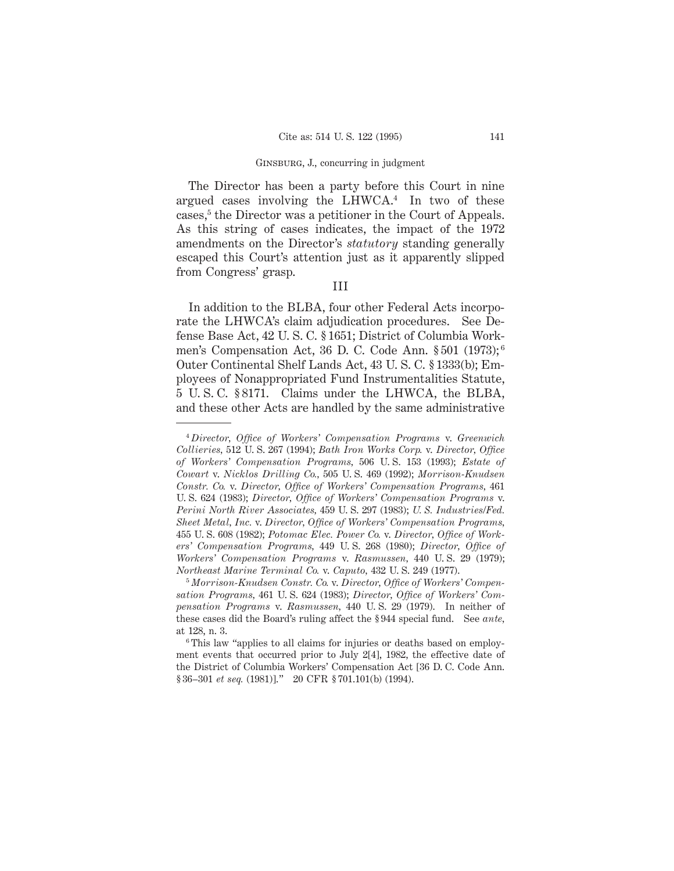## Ginsburg, J., concurring in judgment

The Director has been a party before this Court in nine argued cases involving the LHWCA.4 In two of these cases,<sup>5</sup> the Director was a petitioner in the Court of Appeals. As this string of cases indicates, the impact of the 1972 amendments on the Director's *statutory* standing generally escaped this Court's attention just as it apparently slipped from Congress' grasp.

# III

In addition to the BLBA, four other Federal Acts incorporate the LHWCA's claim adjudication procedures. See Defense Base Act, 42 U. S. C. § 1651; District of Columbia Workmen's Compensation Act, 36 D. C. Code Ann. § 501 (1973); <sup>6</sup> Outer Continental Shelf Lands Act, 43 U. S. C. § 1333(b); Employees of Nonappropriated Fund Instrumentalities Statute, 5 U. S. C. § 8171. Claims under the LHWCA, the BLBA, and these other Acts are handled by the same administrative

<sup>4</sup> *Director, Office of Workers' Compensation Programs* v. *Greenwich Collieries,* 512 U. S. 267 (1994); *Bath Iron Works Corp.* v. *Director, Office of Workers' Compensation Programs,* 506 U. S. 153 (1993); *Estate of Cowart* v. *Nicklos Drilling Co.,* 505 U. S. 469 (1992); *Morrison-Knudsen Constr. Co.* v. *Director, Office of Workers' Compensation Programs,* 461 U. S. 624 (1983); *Director, Office of Workers' Compensation Programs* v. *Perini North River Associates,* 459 U. S. 297 (1983); *U. S. Industries/Fed. Sheet Metal, Inc.* v. *Director, Office of Workers' Compensation Programs,* 455 U. S. 608 (1982); *Potomac Elec. Power Co.* v. *Director, Office of Workers' Compensation Programs,* 449 U. S. 268 (1980); *Director, Office of Workers' Compensation Programs* v. *Rasmussen,* 440 U. S. 29 (1979); *Northeast Marine Terminal Co.* v. *Caputo,* 432 U. S. 249 (1977).

<sup>5</sup> *Morrison-Knudsen Constr. Co.* v. *Director, Office of Workers' Compensation Programs,* 461 U. S. 624 (1983); *Director, Office of Workers' Compensation Programs* v. *Rasmussen,* 440 U. S. 29 (1979). In neither of these cases did the Board's ruling affect the § 944 special fund. See *ante,* at 128, n. 3.

<sup>&</sup>lt;sup>6</sup> This law "applies to all claims for injuries or deaths based on employment events that occurred prior to July 2[4], 1982, the effective date of the District of Columbia Workers' Compensation Act [36 D. C. Code Ann. § 36–301 *et seq.* (1981)]." 20 CFR § 701.101(b) (1994).